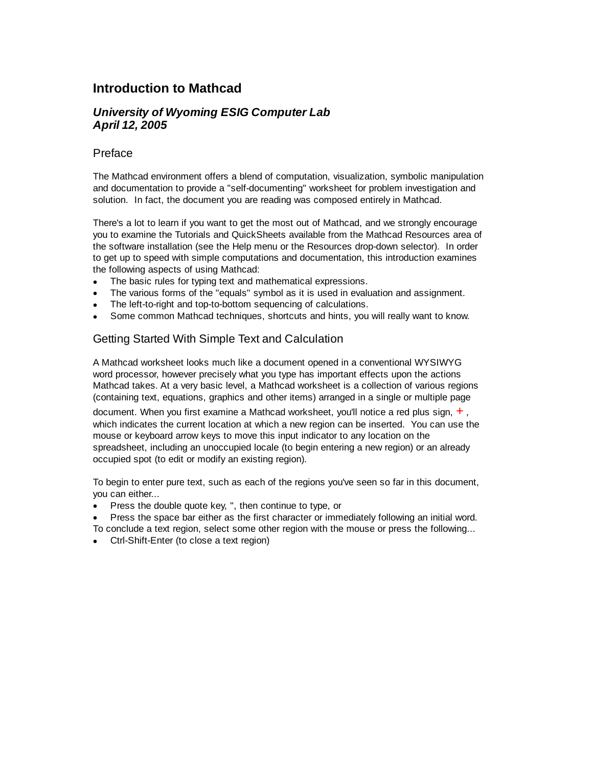# **Introduction to Mathcad**

## *University of Wyoming ESIG Computer Lab April 12, 2005*

### Preface

The Mathcad environment offers a blend of computation, visualization, symbolic manipulation and documentation to provide a "self-documenting" worksheet for problem investigation and solution. In fact, the document you are reading was composed entirely in Mathcad.

There's a lot to learn if you want to get the most out of Mathcad, and we strongly encourage you to examine the Tutorials and QuickSheets available from the Mathcad Resources area of the software installation (see the Help menu or the Resources drop-down selector). In order to get up to speed with simple computations and documentation, this introduction examines the following aspects of using Mathcad:

- The basic rules for typing text and mathematical expressions.
- The various forms of the "equals" symbol as it is used in evaluation and assignment.
- The left-to-right and top-to-bottom sequencing of calculations.
- Some common Mathcad techniques, shortcuts and hints, you will really want to know.

### Getting Started With Simple Text and Calculation

A Mathcad worksheet looks much like a document opened in a conventional WYSIWYG word processor, however precisely what you type has important effects upon the actions Mathcad takes. At a very basic level, a Mathcad worksheet is a collection of various regions (containing text, equations, graphics and other items) arranged in a single or multiple page

document. When you first examine a Mathcad worksheet, you'll notice a red plus sign,  $+$ , which indicates the current location at which a new region can be inserted. You can use the mouse or keyboard arrow keys to move this input indicator to any location on the spreadsheet, including an unoccupied locale (to begin entering a new region) or an already occupied spot (to edit or modify an existing region).

To begin to enter pure text, such as each of the regions you've seen so far in this document, you can either...

- Press the double quote key, ", then continue to type, or
- Press the space bar either as the first character or immediately following an initial word.
- To conclude a text region, select some other region with the mouse or press the following...
- Ctrl-Shift-Enter (to close a text region)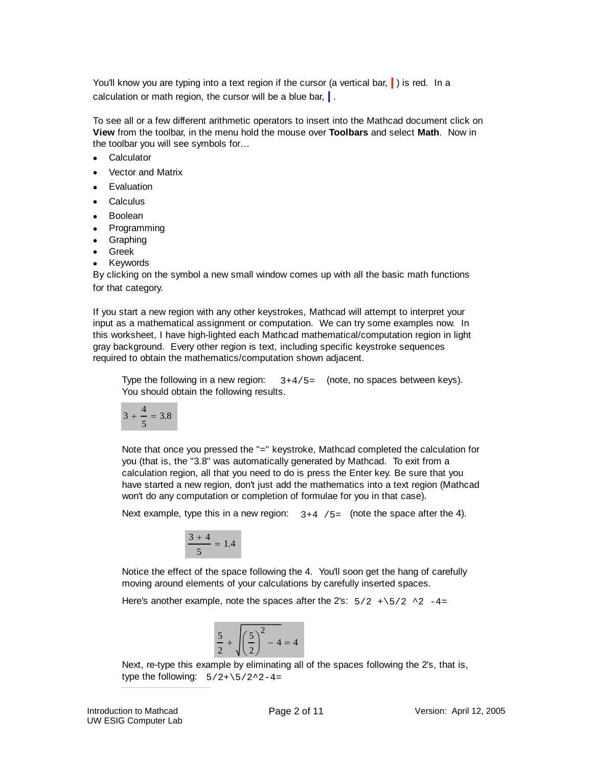You'll know you are typing into a text region if the cursor (a vertical bar, **|** ) is red. In a calculation or math region, the cursor will be a blue bar, **|** .

To see all or a few different arithmetic operators to insert into the Mathcad document click on **View** from the toolbar, in the menu hold the mouse over **Toolbars** and select **Math**. Now in the toolbar you will see symbols for…

- **Calculator**
- Vector and Matrix
- Evaluation
- Calculus
- Boolean
- Programming
- Graphing
- Greek
- Keywords

By clicking on the symbol a new small window comes up with all the basic math functions for that category.

If you start a new region with any other keystrokes, Mathcad will attempt to interpret your input as a mathematical assignment or computation. We can try some examples now. In this worksheet, I have high-lighted each Mathcad mathematical/computation region in light gray background. Every other region is text, including specific keystroke sequences required to obtain the mathematics/computation shown adjacent.

Type the following in a new region:  $3+4/5=$  (note, no spaces between keys). You should obtain the following results.

$$
3 + \frac{4}{5} = 3.8
$$

Note that once you pressed the "=" keystroke, Mathcad completed the calculation for you (that is, the "3.8" was automatically generated by Mathcad. To exit from a calculation region, all that you need to do is press the Enter key. Be sure that you have started a new region, don't just add the mathematics into a text region (Mathcad won't do any computation or completion of formulae for you in that case).

Next example, type this in a new region:  $3+4$  /5= (note the space after the 4).

$$
\frac{3+4}{5}=1.4
$$

Notice the effect of the space following the 4. You'll soon get the hang of carefully moving around elements of your calculations by carefully inserted spaces.

Here's another example, note the spaces after the 2's:  $5/2$  + \5/2 ^2 -4=

$$
\frac{5}{2} + \sqrt{\left(\frac{5}{2}\right)^2 - 4} = 4
$$

Next, re-type this example by eliminating all of the spaces following the 2's, that is, type the following:  $5/2+\5/2^2-4=$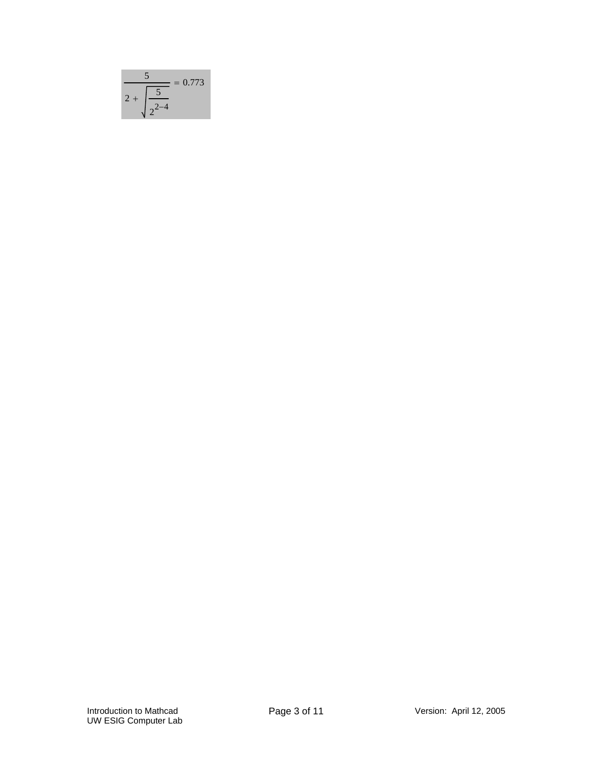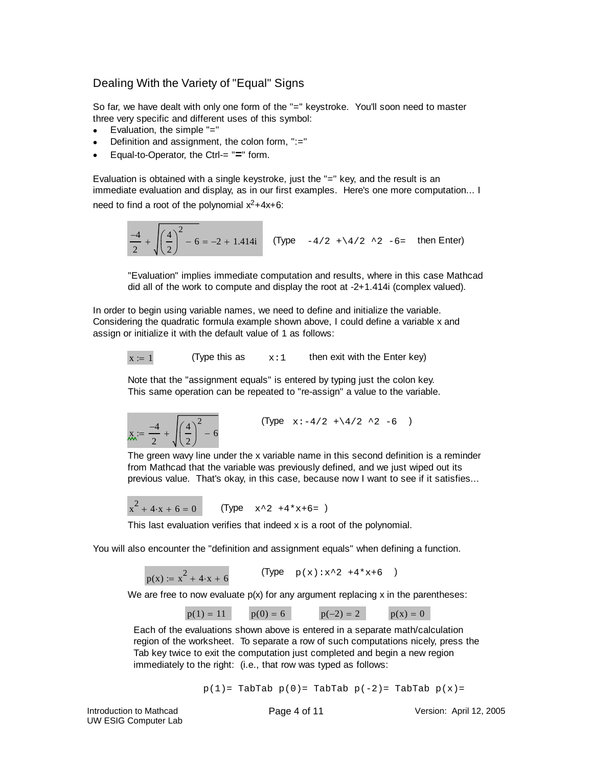## Dealing With the Variety of "Equal" Signs

So far, we have dealt with only one form of the "=" keystroke. You'll soon need to master three very specific and different uses of this symbol:

- $\bullet$  Evaluation, the simple "="
- Definition and assignment, the colon form, ":="
- Equal-to-Operator, the Ctrl-= "**=**" form.

Evaluation is obtained with a single keystroke, just the "=" key, and the result is an immediate evaluation and display, as in our first examples. Here's one more computation... I need to find a root of the polynomial  $x^2+4x+6$ :

$$
\frac{-4}{2} + \sqrt{\left(\frac{4}{2}\right)^2 - 6} = -2 + 1.414i
$$
 (Type  $-4/2 + 4/2 \cdot 2 - 6 =$  then Enter)

"Evaluation" implies immediate computation and results, where in this case Mathcad did all of the work to compute and display the root at -2+1.414i (complex valued).

In order to begin using variable names, we need to define and initialize the variable. Considering the quadratic formula example shown above, I could define a variable x and assign or initialize it with the default value of 1 as follows:

$$
\mathbf{x}:=\frac{1}{2}
$$

1 Type this as  $x:1$  then exit with the Enter key)

Note that the "assignment equals" is entered by typing just the colon key. This same operation can be repeated to "re-assign" a value to the variable.

$$
x = \frac{-4}{2} + \sqrt{\left(\frac{4}{2}\right)^2 - 6}
$$
 (T)

 $\text{type } x: -4/2 + \{4/2 \land 2 \land -6 \}$ 

The green wavy line under the x variable name in this second definition is a reminder from Mathcad that the variable was previously defined, and we just wiped out its previous value. That's okay, in this case, because now I want to see if it satisfies...

$$
x^2 + 4 \cdot x + 6 = 0
$$
 (Type  $x^2 + 4 \cdot x + 6 = 0$ )

This last evaluation verifies that indeed x is a root of the polynomial.

You will also encounter the "definition and assignment equals" when defining a function.

$$
p(x) := x^2 + 4 \cdot x + 6
$$

 $(Type p(x):x^2 + 4*x + 6)$ 

We are free to now evaluate  $p(x)$  for any argument replacing x in the parentheses:



 $p(1) = 11$   $p(0) = 6$   $p(-2) = 2$   $p(x) = 0$ 

 $p(1)$ = TabTab  $p(0)$ = TabTab  $p(-2)$ = TabTab  $p(x)$ =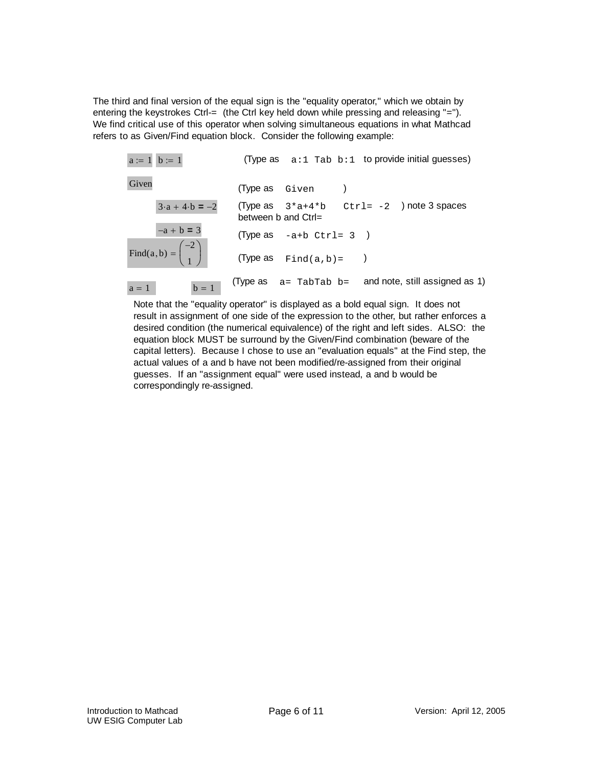The third and final version of the equal sign is the "equality operator," which we obtain by entering the keystrokes Ctrl-= (the Ctrl key held down while pressing and releasing "="). We find critical use of this operator when solving simultaneous equations in what Mathcad refers to as Given/Find equation block. Consider the following example:



Note that the "equality operator" is displayed as a bold equal sign. It does not result in assignment of one side of the expression to the other, but rather enforces a desired condition (the numerical equivalence) of the right and left sides. ALSO: the equation block MUST be surround by the Given/Find combination (beware of the capital letters). Because I chose to use an "evaluation equals" at the Find step, the actual values of a and b have not been modified/re-assigned from their original guesses. If an "assignment equal" were used instead, a and b would be correspondingly re-assigned.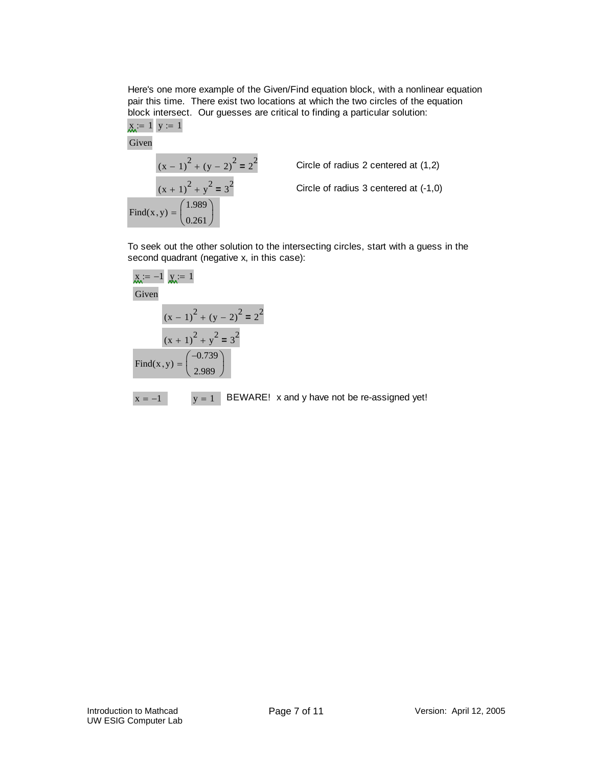Here's one more example of the Given/Find equation block, with a nonlinear equation pair this time. There exist two locations at which the two circles of the equation block intersect. Our guesses are critical to finding a particular solution:  $x := 1$  y := 1

Given  
\n
$$
(x - 1)^{2} + (y - 2)^{2} = 2^{2}
$$
\n
$$
(x + 1)^{2} + y^{2} = 3^{2}
$$
\nCircle of radius 2 centered at (1,2)  
\n
$$
Find(x,y) = \begin{pmatrix} 1.989 \\ 0.261 \end{pmatrix}
$$
\nCircle of radius 3 centered at (-1,0)

To seek out the other solution to the intersecting circles, start with a guess in the second quadrant (negative x, in this case):

$$
x_{xx} = -1 \quad y_{xx} = 1
$$
  
Given  

$$
(x - 1)^2 + (y - 2)^2 = 2^2
$$

$$
(x + 1)^2 + y^2 = 3^2
$$

$$
Find(x, y) = \begin{pmatrix} -0.739 \\ 2.989 \end{pmatrix}
$$

$$
x = -1 \qquad y = 1 \qquad BEWARE! \ x and y have not be re-assigned yet!
$$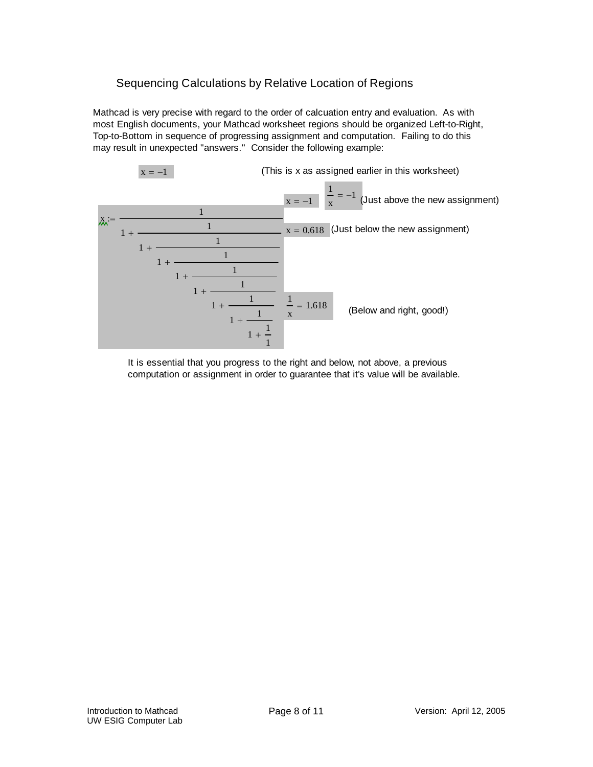# Sequencing Calculations by Relative Location of Regions

Mathcad is very precise with regard to the order of calcuation entry and evaluation. As with most English documents, your Mathcad worksheet regions should be organized Left-to-Right, Top-to-Bottom in sequence of progressing assignment and computation. Failing to do this may result in unexpected "answers." Consider the following example:



It is essential that you progress to the right and below, not above, a previous computation or assignment in order to guarantee that it's value will be available.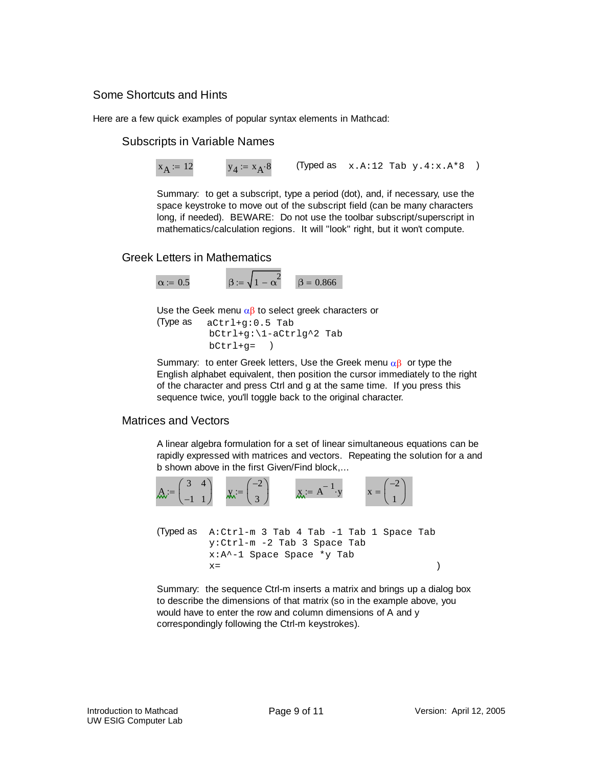### Some Shortcuts and Hints

Here are a few quick examples of popular syntax elements in Mathcad:

Subscripts in Variable Names

 $x_A = 12$   $y_A = x_A.8$  (Typed as  $x.A:12$  Tab  $y.A: x.A*8$  )

Summary: to get a subscript, type a period (dot), and, if necessary, use the space keystroke to move out of the subscript field (can be many characters long, if needed). BEWARE: Do not use the toolbar subscript/superscript in mathematics/calculation regions. It will "look" right, but it won't compute.

### Greek Letters in Mathematics



Use the Geek menu  $\alpha\beta$  to select greek characters or (Type as aCtrl+g:0.5 Tab bCtrl+g:\1-aCtrlg^2 Tab  $bCtrl+q=$   $)$ 

Summary: to enter Greek letters, Use the Greek menu  $\alpha\beta$  or type the English alphabet equivalent, then position the cursor immediately to the right of the character and press Ctrl and g at the same time. If you press this sequence twice, you'll toggle back to the original character.

#### Matrices and Vectors

A linear algebra formulation for a set of linear simultaneous equations can be rapidly expressed with matrices and vectors. Repeating the solution for a and b shown above in the first Given/Find block,...



Summary: the sequence Ctrl-m inserts a matrix and brings up a dialog box to describe the dimensions of that matrix (so in the example above, you would have to enter the row and column dimensions of A and y correspondingly following the Ctrl-m keystrokes).